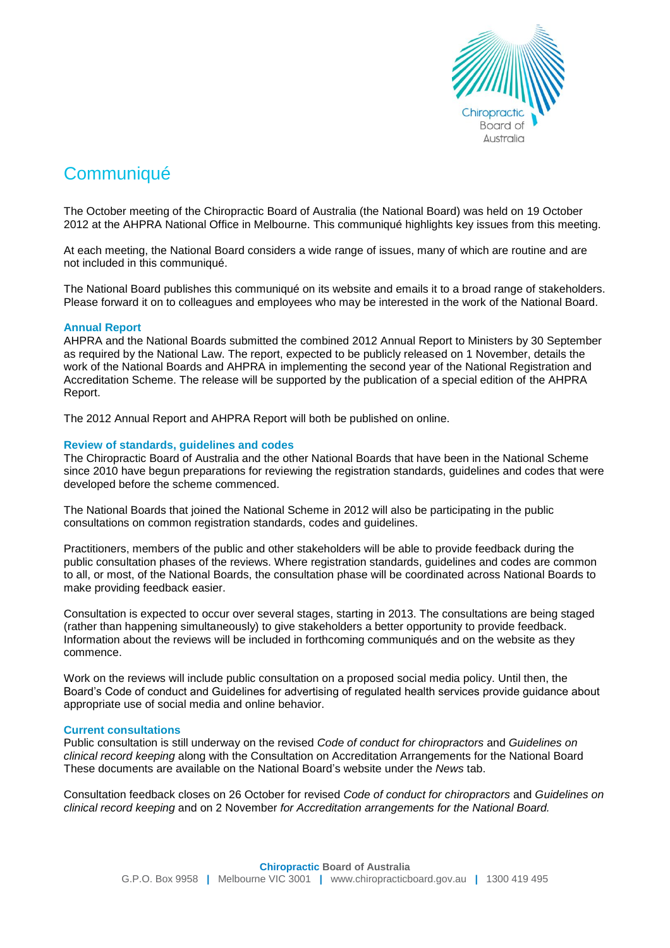

# **Communiqué**

The October meeting of the Chiropractic Board of Australia (the National Board) was held on 19 October 2012 at the AHPRA National Office in Melbourne. This communiqué highlights key issues from this meeting.

At each meeting, the National Board considers a wide range of issues, many of which are routine and are not included in this communiqué.

The National Board publishes this communiqué on its website and emails it to a broad range of stakeholders. Please forward it on to colleagues and employees who may be interested in the work of the National Board.

## **Annual Report**

AHPRA and the National Boards submitted the combined 2012 Annual Report to Ministers by 30 September as required by the National Law. The report, expected to be publicly released on 1 November, details the work of the National Boards and AHPRA in implementing the second year of the National Registration and Accreditation Scheme. The release will be supported by the publication of a special edition of the AHPRA Report.

The 2012 Annual Report and AHPRA Report will both be published on online.

## **Review of standards, guidelines and codes**

The Chiropractic Board of Australia and the other National Boards that have been in the National Scheme since 2010 have begun preparations for reviewing the registration standards, guidelines and codes that were developed before the scheme commenced.

The National Boards that joined the National Scheme in 2012 will also be participating in the public consultations on common registration standards, codes and guidelines.

Practitioners, members of the public and other stakeholders will be able to provide feedback during the public consultation phases of the reviews. Where registration standards, guidelines and codes are common to all, or most, of the National Boards, the consultation phase will be coordinated across National Boards to make providing feedback easier.

Consultation is expected to occur over several stages, starting in 2013. The consultations are being staged (rather than happening simultaneously) to give stakeholders a better opportunity to provide feedback. Information about the reviews will be included in forthcoming communiqués and on the website as they commence.

Work on the reviews will include public consultation on a proposed social media policy. Until then, the Board's Code of conduct and Guidelines for advertising of regulated health services provide guidance about appropriate use of social media and online behavior.

## **Current consultations**

Public consultation is still underway on the revised *Code of conduct for chiropractors* and *Guidelines on clinical record keeping* along with the Consultation on Accreditation Arrangements for the National Board These documents are available on the National Board's website under the *News* tab.

Consultation feedback closes on 26 October for revised *Code of conduct for chiropractors* and *Guidelines on clinical record keeping* and on 2 November *for Accreditation arrangements for the National Board.*